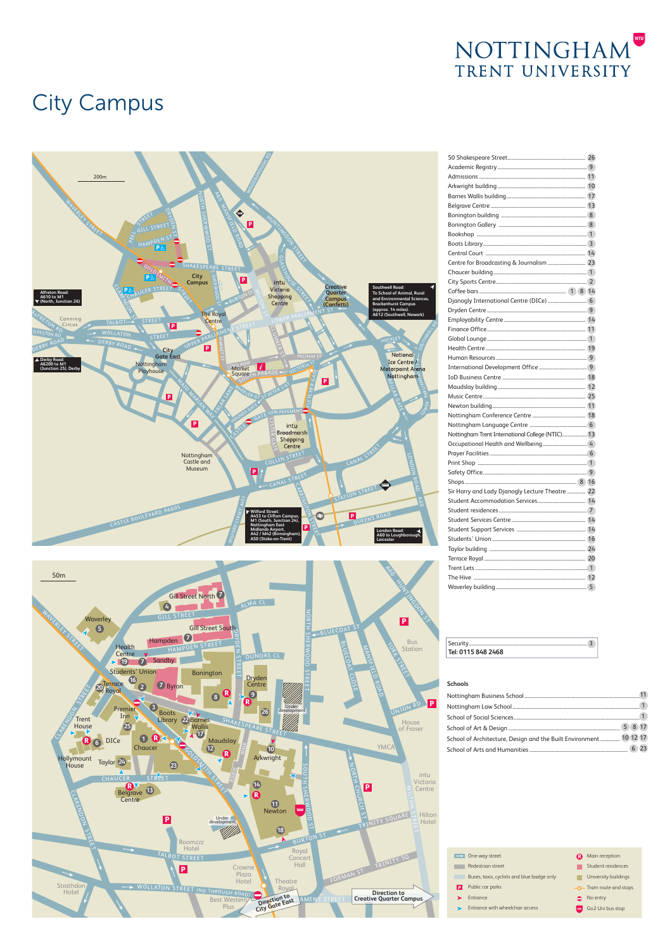

## City Campus





| Centre for Broadcasting & Journalism  23         |  |
|--------------------------------------------------|--|
|                                                  |  |
|                                                  |  |
|                                                  |  |
|                                                  |  |
|                                                  |  |
|                                                  |  |
|                                                  |  |
|                                                  |  |
|                                                  |  |
|                                                  |  |
|                                                  |  |
|                                                  |  |
|                                                  |  |
|                                                  |  |
|                                                  |  |
|                                                  |  |
|                                                  |  |
| Nottingham Trent International College (NTIC) 13 |  |
|                                                  |  |
|                                                  |  |
|                                                  |  |
|                                                  |  |
|                                                  |  |
| Sir Harry and Lady Djanogly Lecture Theatre  22  |  |
|                                                  |  |
|                                                  |  |
|                                                  |  |
|                                                  |  |
|                                                  |  |
|                                                  |  |
|                                                  |  |
|                                                  |  |
|                                                  |  |
|                                                  |  |

| Security<br>Tel: 0115 848 2468 |  |
|--------------------------------|--|
|--------------------------------|--|

| <b>Schools</b>                                                     |  |
|--------------------------------------------------------------------|--|
|                                                                    |  |
|                                                                    |  |
|                                                                    |  |
|                                                                    |  |
| School of Architecture, Design and the Built Environment  10 12 17 |  |
|                                                                    |  |

|   | One-way street                             |            | Main reception           |
|---|--------------------------------------------|------------|--------------------------|
|   | Pedestrian street                          |            | Student residences       |
|   | Buses, taxis, cyclists and blue badge only |            | University buildings     |
| P | Public car parks                           |            | -O- Tram route and stops |
|   | Entrance                                   |            | No entry                 |
|   | Entrance with wheelchair access            | <b>SHO</b> | Go2 Uni bus stop         |
|   |                                            |            |                          |